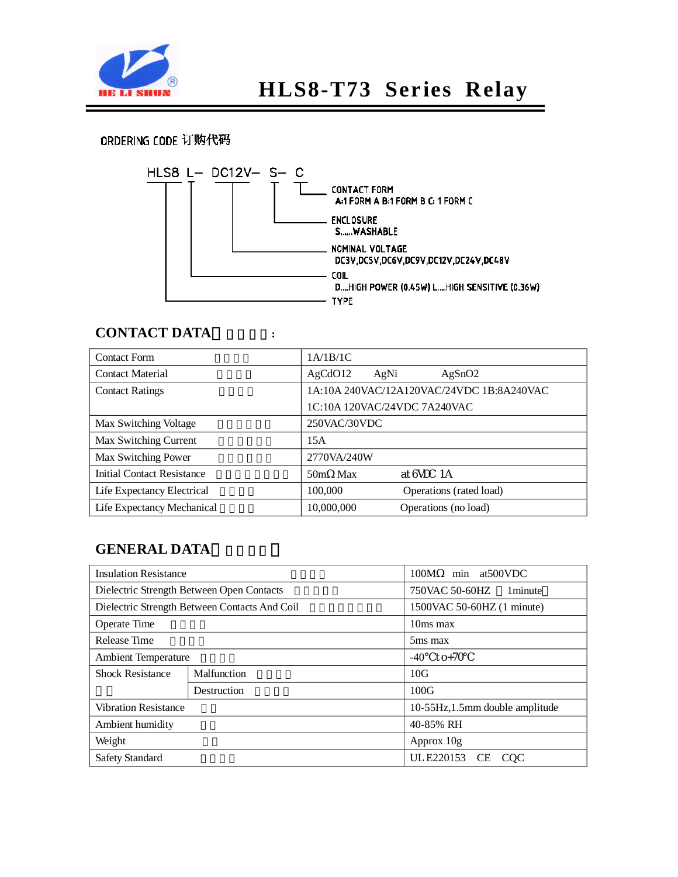

# **HLS8-T73 Series Relay**

### ORDERING CODE 订购代码



#### **CONTACT DATA** :

| <b>Contact Form</b>               | 1A/1B/1C                                  |  |  |  |
|-----------------------------------|-------------------------------------------|--|--|--|
| <b>Contact Material</b>           | AgCdO12<br>AgSnO2<br>AgNi                 |  |  |  |
| <b>Contact Ratings</b>            | 1A:10A 240VAC/12A120VAC/24VDC 1B:8A240VAC |  |  |  |
|                                   | 1C:10A 120VAC/24VDC 7A240VAC              |  |  |  |
| Max Switching Voltage             | 250VAC/30VDC                              |  |  |  |
| Max Switching Current             | 15A                                       |  |  |  |
| Max Switching Power               | 2770VA/240W                               |  |  |  |
| <b>Initial Contact Resistance</b> | at 6VDC 1A<br>50m Max                     |  |  |  |
| Life Expectancy Electrical        | 100,000<br>Operations (rated load)        |  |  |  |
| Life Expectancy Mechanical        | 10,000,000<br>Operations (no load)        |  |  |  |

#### **GENERAL DATA**

| <b>Insulation Resistance</b> |                                               | 100M<br>min at 500 VDC          |  |  |
|------------------------------|-----------------------------------------------|---------------------------------|--|--|
|                              | Dielectric Strength Between Open Contacts     | 750VAC 50-60HZ<br>1 minute      |  |  |
|                              | Dielectric Strength Between Contacts And Coil | 1500VAC 50-60HZ (1 minute)      |  |  |
| Operate Time                 |                                               | 10ms max                        |  |  |
| Release Time                 |                                               | 5 <sub>ms</sub> max             |  |  |
| <b>Ambient Temperature</b>   |                                               | to+70<br>$-40$                  |  |  |
| <b>Shock Resistance</b>      | Malfunction                                   | 10G                             |  |  |
|                              | Destruction                                   | 100G                            |  |  |
| <b>Vibration Resistance</b>  |                                               | 10-55Hz, 1.5mm double amplitude |  |  |
| Ambient humidity             |                                               | 40-85% RH                       |  |  |
| Weight                       |                                               | Approx 10g                      |  |  |
| <b>Safety Standard</b>       |                                               | UL E220153<br>CE.<br><b>COC</b> |  |  |